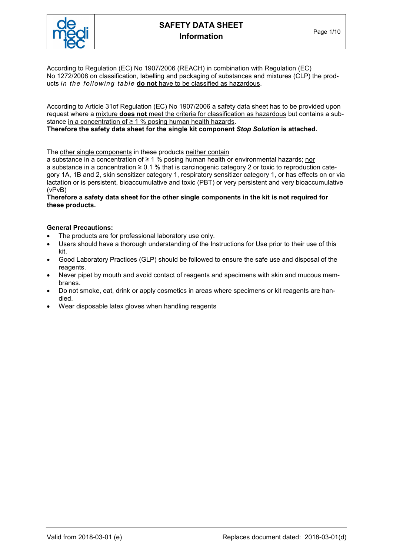

According to Regulation (EC) No 1907/2006 (REACH) in combination with Regulation (EC) No 1272/2008 on classification, labelling and packaging of substances and mixtures (CLP) the products in the following table do not have to be classified as hazardous.

According to Article 31of Regulation (EC) No 1907/2006 a safety data sheet has to be provided upon request where a mixture does not meet the criteria for classification as hazardous but contains a substance in a concentration of ≥ 1 % posing human health hazards. Therefore the safety data sheet for the single kit component Stop Solution is attached.

The other single components in these products neither contain

a substance in a concentration of ≥ 1 % posing human health or environmental hazards; nor a substance in a concentration ≥ 0.1 % that is carcinogenic category 2 or toxic to reproduction category 1A, 1B and 2, skin sensitizer category 1, respiratory sensitizer category 1, or has effects on or via lactation or is persistent, bioaccumulative and toxic (PBT) or very persistent and very bioaccumulative (vPvB)

Therefore a safety data sheet for the other single components in the kit is not required for these products.

## General Precautions:

- The products are for professional laboratory use only.
- Users should have a thorough understanding of the Instructions for Use prior to their use of this kit.
- Good Laboratory Practices (GLP) should be followed to ensure the safe use and disposal of the reagents.
- Never pipet by mouth and avoid contact of reagents and specimens with skin and mucous membranes.
- Do not smoke, eat, drink or apply cosmetics in areas where specimens or kit reagents are handled.
- Wear disposable latex gloves when handling reagents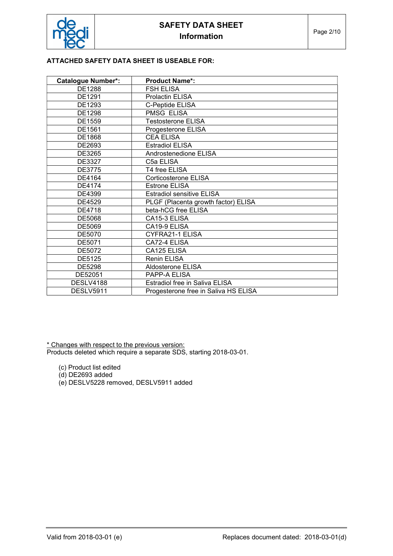## ATTACHED SAFETY DATA SHEET IS USEABLE FOR:

| <b>Catalogue Number*:</b> | <b>Product Name*:</b>                |
|---------------------------|--------------------------------------|
| DE1288                    | <b>FSH ELISA</b>                     |
| DE1291                    | <b>Prolactin ELISA</b>               |
| DE1293                    | C-Peptide ELISA                      |
| DE1298                    | PMSG ELISA                           |
| DE1559                    | <b>Testosterone ELISA</b>            |
| DE1561                    | Progesterone ELISA                   |
| DE1868                    | <b>CEA ELISA</b>                     |
| DE2693                    | <b>Estradiol ELISA</b>               |
| DE3265                    | Androstenedione ELISA                |
| DE3327                    | C5a ELISA                            |
| <b>DE3775</b>             | T4 free ELISA                        |
| DE4164                    | <b>Corticosterone ELISA</b>          |
| DE4174                    | Estrone ELISA                        |
| DE4399                    | <b>Estradiol sensitive ELISA</b>     |
| DE4529                    | PLGF (Placenta growth factor) ELISA  |
| DE4718                    | beta-hCG free ELISA                  |
| DE5068                    | CA15-3 ELISA                         |
| DE5069                    | CA19-9 ELISA                         |
| <b>DE5070</b>             | <b>CYFRA21-1 ELISA</b>               |
| DE5071                    | CA72-4 ELISA                         |
| DE5072                    | CA125 ELISA                          |
| DE5125                    | <b>Renin ELISA</b>                   |
| DE5298                    | Aldosterone ELISA                    |
| DE52051                   | PAPP-A ELISA                         |
| <b>DESLV4188</b>          | Estradiol free in Saliva ELISA       |
| DESLV5911                 | Progesterone free in Saliva HS ELISA |

\* Changes with respect to the previous version: Products deleted which require a separate SDS, starting 2018-03-01.

- (c) Product list edited
- $(d)$  DE2693 added
- (e) DESLV5228 removed, DESLV5911 added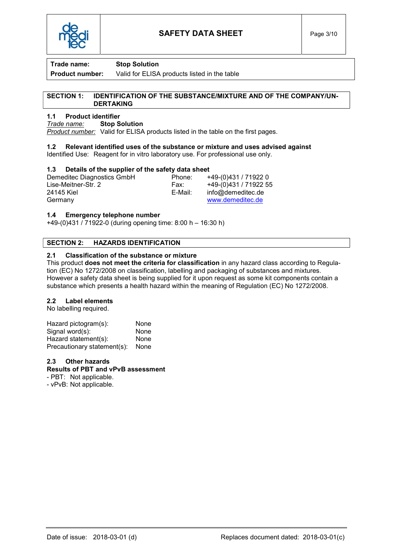

**Product number:** Valid for ELISA products listed in the table

#### SECTION 1: IDENTIFICATION OF THE SUBSTANCE/MIXTURE AND OF THE COMPANY/UN-DERTAKING

## 1.1 Product identifier

Trade name: Stop Solution

Product number: Valid for ELISA products listed in the table on the first pages.

# 1.2 Relevant identified uses of the substance or mixture and uses advised against

Identified Use: Reagent for in vitro laboratory use. For professional use only.

# 1.3 Details of the supplier of the safety data sheet

Demeditec Diagnostics GmbH<br>
Lise-Meitner-Str. 2 <br>
Fax: +49-(0)431 / 71922 5 Lise-Meitner-Str. 2 Fax: +49-(0)431 / 71922 55<br>24145 Kiel F-Mail: info@demeditec.de info@demeditec.de Germany www.demeditec.de

## 1.4 Emergency telephone number

+49-(0)431 / 71922-0 (during opening time: 8:00 h – 16:30 h)

## SECTION 2: HAZARDS IDENTIFICATION

## 2.1 Classification of the substance or mixture

This product **does not meet the criteria for classification** in any hazard class according to Regulation (EC) No 1272/2008 on classification, labelling and packaging of substances and mixtures. However a safety data sheet is being supplied for it upon request as some kit components contain a substance which presents a health hazard within the meaning of Regulation (EC) No 1272/2008.

#### 2.2 Label elements

No labelling required.

| Hazard pictogram(s):        | None |
|-----------------------------|------|
| Signal word(s):             | None |
| Hazard statement(s):        | None |
| Precautionary statement(s): | None |

## 2.3 Other hazards

#### Results of PBT and vPvB assessment

- PBT: Not applicable.

- vPvB: Not applicable.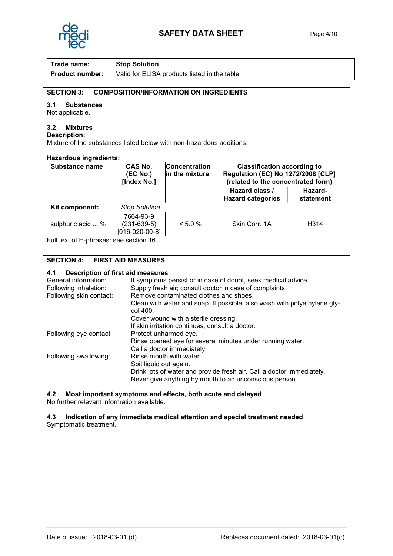

Product number: Valid for ELISA products listed in the table

## SECTION 3: COMPOSITION/INFORMATION ON INGREDIENTS

## 3.1 Substances

Not applicable.

# 3.2 Mixtures

Description:

Mixture of the substances listed below with non-hazardous additions.

## Hazardous ingredients:

| Substance name    | <b>CAS No.</b><br>(EC No.)<br>[Index No.]      | <b>Concentration</b><br>in the mixture | <b>Classification according to</b><br><b>Regulation (EC) No 1272/2008 [CLP]</b><br>(related to the concentrated form) |                      |
|-------------------|------------------------------------------------|----------------------------------------|-----------------------------------------------------------------------------------------------------------------------|----------------------|
|                   |                                                |                                        | Hazard class /<br><b>Hazard categories</b>                                                                            | Hazard-<br>statement |
| Kit component:    | <b>Stop Solution</b>                           |                                        |                                                                                                                       |                      |
| sulphuric acid  % | 7664-93-9<br>$(231-639-5)$<br>$[016-020-00-8]$ | < 5.0 %                                | Skin Corr. 1A                                                                                                         | H <sub>3</sub> 14    |

Full text of H-phrases: see section 16

## SECTION 4: FIRST AID MEASURES

## 4.1 Description of first aid measures

| General information:    | If symptoms persist or in case of doubt, seek medical advice.                        |
|-------------------------|--------------------------------------------------------------------------------------|
| Following inhalation:   | Supply fresh air; consult doctor in case of complaints.                              |
| Following skin contact: | Remove contaminated clothes and shoes.                                               |
|                         | Clean with water and soap. If possible, also wash with polyethylene gly-<br>col 400. |
|                         | Cover wound with a sterile dressing.                                                 |
|                         | If skin irritation continues, consult a doctor.                                      |
| Following eye contact:  | Protect unharmed eye.                                                                |
|                         | Rinse opened eye for several minutes under running water.                            |
|                         | Call a doctor immediately.                                                           |
| Following swallowing:   | Rinse mouth with water.                                                              |
|                         | Spit liquid out again.                                                               |
|                         | Drink lots of water and provide fresh air. Call a doctor immediately.                |
|                         | Never give anything by mouth to an unconscious person                                |

4.2 Most important symptoms and effects, both acute and delayed

No further relevant information available.

4.3 Indication of any immediate medical attention and special treatment needed Symptomatic treatment.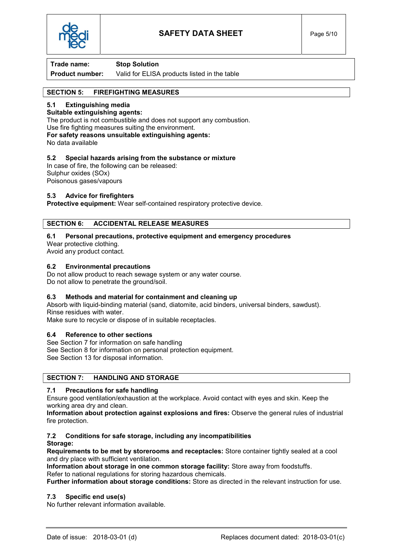

**Product number:** Valid for ELISA products listed in the table

# SECTION 5: FIREFIGHTING MEASURES

## 5.1 Extinguishing media

Suitable extinguishing agents: The product is not combustible and does not support any combustion. Use fire fighting measures suiting the environment. For safety reasons unsuitable extinguishing agents: No data available

## 5.2 Special hazards arising from the substance or mixture

In case of fire, the following can be released: Sulphur oxides (SOx) Poisonous gases/vapours

## 5.3 Advice for firefighters

Protective equipment: Wear self-contained respiratory protective device.

## SECTION 6: ACCIDENTAL RELEASE MEASURES

## 6.1 Personal precautions, protective equipment and emergency procedures

Wear protective clothing.

Avoid any product contact.

## 6.2 Environmental precautions

Do not allow product to reach sewage system or any water course. Do not allow to penetrate the ground/soil.

## 6.3 Methods and material for containment and cleaning up

Absorb with liquid-binding material (sand, diatomite, acid binders, universal binders, sawdust). Rinse residues with water.

Make sure to recycle or dispose of in suitable receptacles.

## 6.4 Reference to other sections

See Section 7 for information on safe handling

See Section 8 for information on personal protection equipment.

See Section 13 for disposal information.

## SECTION 7: HANDLING AND STORAGE

# 7.1 Precautions for safe handling

Ensure good ventilation/exhaustion at the workplace. Avoid contact with eyes and skin. Keep the working area dry and clean.

Information about protection against explosions and fires: Observe the general rules of industrial fire protection.

#### 7.2 Conditions for safe storage, including any incompatibilities Storage:

Requirements to be met by storerooms and receptacles: Store container tightly sealed at a cool and dry place with sufficient ventilation.

Information about storage in one common storage facility: Store away from foodstuffs.

Refer to national regulations for storing hazardous chemicals.

Further information about storage conditions: Store as directed in the relevant instruction for use.

## 7.3 Specific end use(s)

No further relevant information available.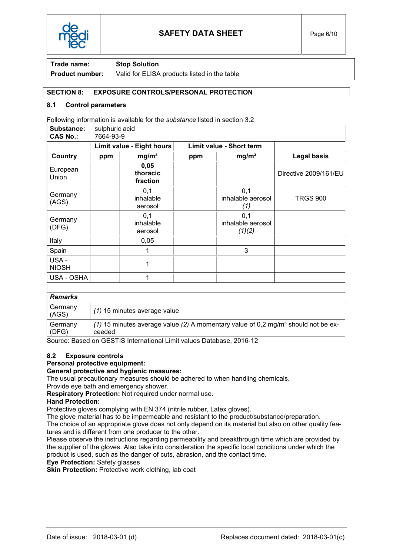

**Product number:** Valid for ELISA products listed in the table

## SECTION 8: EXPOSURE CONTROLS/PERSONAL PROTECTION

### 8.1 Control parameters

Following information is available for the substance listed in section 3.2

| Substance:<br><b>CAS No.:</b> | sulphuric acid<br>7664-93-9 |                              |                          |                                    |                       |
|-------------------------------|-----------------------------|------------------------------|--------------------------|------------------------------------|-----------------------|
|                               | Limit value - Eight hours   |                              | Limit value - Short term |                                    |                       |
| Country                       | ppm                         | mg/m <sup>3</sup>            | ppm                      | mg/m <sup>3</sup>                  | <b>Legal basis</b>    |
| European<br>Union             |                             | 0,05<br>thoracic<br>fraction |                          |                                    | Directive 2009/161/EU |
| Germany<br>(AGS)              |                             | 0,1<br>inhalable<br>aerosol  |                          | 0,1<br>inhalable aerosol<br>(1)    | <b>TRGS 900</b>       |
| Germany<br>(DFG)              |                             | 0,1<br>inhalable<br>aerosol  |                          | 0,1<br>inhalable aerosol<br>(1)(2) |                       |
| Italy                         |                             | 0,05                         |                          |                                    |                       |
| Spain                         |                             |                              |                          | 3                                  |                       |
| USA-<br><b>NIOSH</b>          |                             | 1                            |                          |                                    |                       |
| USA - OSHA                    |                             | 1                            |                          |                                    |                       |
|                               |                             |                              |                          |                                    |                       |
| <b>Remarks</b>                |                             |                              |                          |                                    |                       |
| Germany<br>(AGS)              |                             | (1) 15 minutes average value |                          |                                    |                       |

Germany (DFG) (1) 15 minutes average value (2) A momentary value of 0,2 mg/m<sup>3</sup> should not be exceeded

Source: Based on GESTIS International Limit values Database, 2016-12

#### 8.2 Exposure controls

## Personal protective equipment:

#### General protective and hygienic measures:

The usual precautionary measures should be adhered to when handling chemicals. Provide eye bath and emergency shower.

Respiratory Protection: Not required under normal use.

## Hand Protection:

Protective gloves complying with EN 374 (nitrile rubber, Latex gloves).

The glove material has to be impermeable and resistant to the product/substance/preparation.

The choice of an appropriate glove does not only depend on its material but also on other quality features and is different from one producer to the other.

Please observe the instructions regarding permeability and breakthrough time which are provided by the supplier of the gloves. Also take into consideration the specific local conditions under which the product is used, such as the danger of cuts, abrasion, and the contact time.

Eye Protection: Safety glasses

Skin Protection: Protective work clothing, lab coat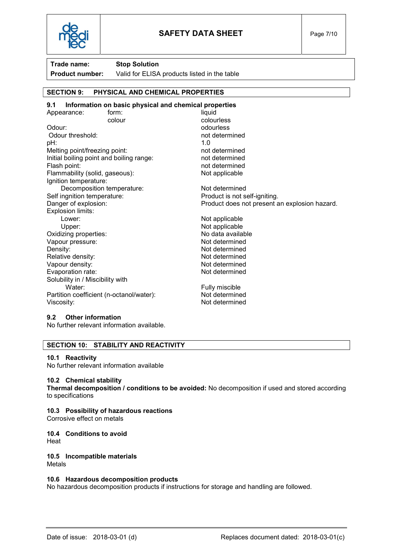

**Product number:** Valid for ELISA products listed in the table

# SECTION 9: PHYSICAL AND CHEMICAL PROPERTIES

#### 9.1 Information on basic physical and chemical properties Appearance: form: form: liquid colour colourless Odour: odourless Odour threshold: example a set of the state of the state of the state of the state of the state of the state of the state of the state of the state of the state of the state of the state of the state of the state of the st pH: 1.0 Melting point/freezing point: not determined Initial boiling point and boiling range: not determined Flash point: not determined Flammability (solid, gaseous): Not applicable Ignition temperature: Decomposition temperature: Not determined Self ingnition temperature: Product is not self-igniting. Danger of explosion: Product does not present an explosion hazard. Explosion limits: Lower: Not applicable Upper: Not applicable Oxidizing properties: No data available Vapour pressure: Not determined Density:<br>
Relative density:<br>
Relative density:<br>
Not determined Relative density: Vapour density: Not determined Evaporation rate: Not determined Solubility in / Miscibility with Water: Water: **Fully miscible** Partition coefficient (n-octanol/water): Not determined Viscosity: We are a set of the set of the Not determined

#### 9.2 Other information

No further relevant information available.

## SECTION 10: STABILITY AND REACTIVITY

#### 10.1 Reactivity

No further relevant information available

#### 10.2 Chemical stability

Thermal decomposition / conditions to be avoided: No decomposition if used and stored according to specifications

#### 10.3 Possibility of hazardous reactions

Corrosive effect on metals

# 10.4 Conditions to avoid

**Heat** 

#### 10.5 Incompatible materials Metals

## 10.6 Hazardous decomposition products

No hazardous decomposition products if instructions for storage and handling are followed.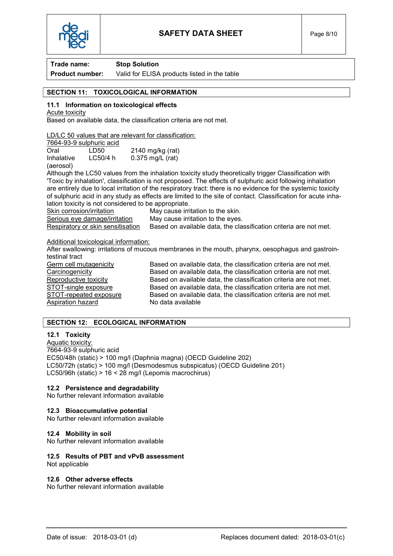

# **Product number:** Valid for ELISA products listed in the table

# SECTION 11: TOXICOLOGICAL INFORMATION

# 11.1 Information on toxicological effects

Acute toxicity

Based on available data, the classification criteria are not met.

LD/LC 50 values that are relevant for classification:

|                         | 7664-93-9 sulphuric acid |                    |
|-------------------------|--------------------------|--------------------|
| Oral                    | LD50                     | $2140$ mg/kg (rat) |
| Inhalative<br>(aerosol) | LC50/4 h                 | $0.375$ mg/L (rat) |

Although the LC50 values from the inhalation toxicity study theoretically trigger Classification with 'Toxic by inhalation', classification is not proposed. The effects of sulphuric acid following inhalation are entirely due to local irritation of the respiratory tract: there is no evidence for the systemic toxicity of sulphuric acid in any study as effects are limited to the site of contact. Classification for acute inhalation toxicity is not considered to be appropriate.

Skin corrosion/irritation May cause irritation to the skin. Serious eye damage/irritation May cause irritation to the eyes. Respiratory or skin sensitisation Based on available data, the classification criteria are not met.

### Additional toxicological information:

After swallowing: irritations of mucous membranes in the mouth, pharynx, oesophagus and gastrointestinal tract Germ cell mutagenicity Based on available data, the classification criteria are not met.

Aspiration hazard No data available

Carcinogenicity Based on available data, the classification criteria are not met. Reproductive toxicity Based on available data, the classification criteria are not met. STOT-single exposure Based on available data, the classification criteria are not met. STOT-repeated exposure Based on available data, the classification criteria are not met.

# SECTION 12: ECOLOGICAL INFORMATION

## 12.1 Toxicity

Aquatic toxicity: 7664-93-9 sulphuric acid EC50/48h (static) > 100 mg/l (Daphnia magna) (OECD Guideline 202) LC50/72h (static) > 100 mg/l (Desmodesmus subspicatus) (OECD Guideline 201) LC50/96h (static) > 16 < 28 mg/l (Lepomis macrochirus)

# 12.2 Persistence and degradability

No further relevant information available

## 12.3 Bioaccumulative potential

No further relevant information available

#### 12.4 Mobility in soil

No further relevant information available

# 12.5 Results of PBT and vPvB assessment

Not applicable

## 12.6 Other adverse effects

No further relevant information available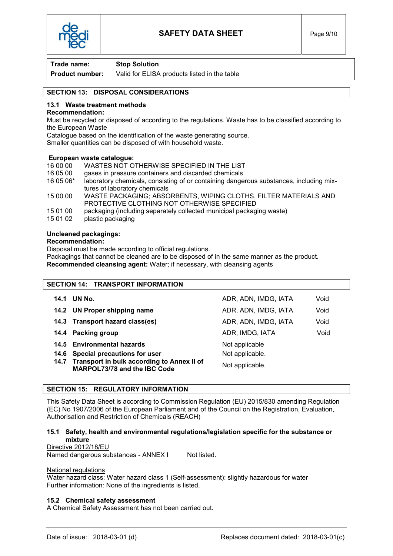

**Product number:** Valid for ELISA products listed in the table

# SECTION 13: DISPOSAL CONSIDERATIONS

## 13.1 Waste treatment methods

### Recommendation:

Must be recycled or disposed of according to the regulations. Waste has to be classified according to the European Waste

Catalogue based on the identification of the waste generating source.

Smaller quantities can be disposed of with household waste.

### European waste catalogue:

- 16 00 00 WASTES NOT OTHERWISE SPECIFIED IN THE LIST 16 05 00 gases in pressure containers and discarded chemicals
- 16 05 06\* laboratory chemicals, consisting of or containing dangerous substances, including mixtures of laboratory chemicals
- 15 00 00 WASTE PACKAGING; ABSORBENTS, WIPING CLOTHS, FILTER MATERIALS AND PROTECTIVE CLOTHING NOT OTHERWISE SPECIFIED
- 15 01 00 packaging (including separately collected municipal packaging waste)
- 15 01 02 plastic packaging

## Uncleaned packagings:

### Recommendation:

Disposal must be made according to official regulations.

Packagings that cannot be cleaned are to be disposed of in the same manner as the product. Recommended cleansing agent: Water; if necessary, with cleansing agents

#### SECTION 14: TRANSPORT INFORMATION

| 14.1 | UN No.                                                                          | ADR, ADN, IMDG, IATA | Void |
|------|---------------------------------------------------------------------------------|----------------------|------|
|      | 14.2 UN Proper shipping name                                                    | ADR, ADN, IMDG, IATA | Void |
|      | 14.3 Transport hazard class(es)                                                 | ADR, ADN, IMDG, IATA | Void |
|      | 14.4 Packing group                                                              | ADR, IMDG, IATA      | Void |
|      | 14.5 Environmental hazards                                                      | Not applicable       |      |
|      | 14.6 Special precautions for user                                               | Not applicable.      |      |
|      | 14.7 Transport in bulk according to Annex II of<br>MARPOL73/78 and the IBC Code | Not applicable.      |      |

## SECTION 15: REGULATORY INFORMATION

This Safety Data Sheet is according to Commission Regulation (EU) 2015/830 amending Regulation (EC) No 1907/2006 of the European Parliament and of the Council on the Registration, Evaluation, Authorisation and Restriction of Chemicals (REACH)

### 15.1 Safety, health and environmental regulations/legislation specific for the substance or mixture

Directive 2012/18/EU Named dangerous substances - ANNEX I Not listed.

#### National regulations

Water hazard class: Water hazard class 1 (Self-assessment): slightly hazardous for water Further information: None of the ingredients is listed.

## 15.2 Chemical safety assessment

A Chemical Safety Assessment has not been carried out.